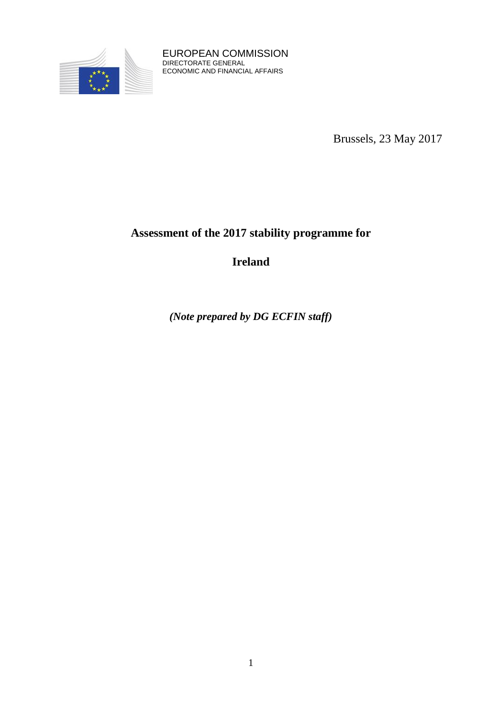

EUROPEAN COMMISSION DIRECTORATE GENERAL ECONOMIC AND FINANCIAL AFFAIRS

Brussels, 23 May 2017

# **Assessment of the 2017 stability programme for**

**Ireland**

*(Note prepared by DG ECFIN staff)*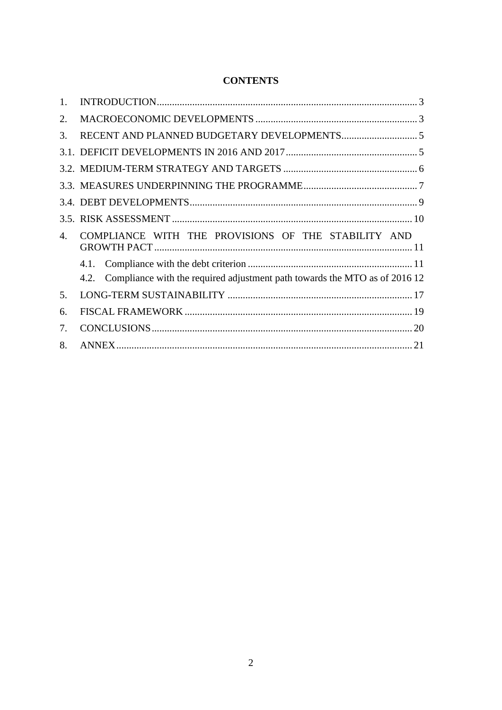| <b>CONTENTS</b> |
|-----------------|
|-----------------|

| $\mathbf{1}$ . |                                                                                    |
|----------------|------------------------------------------------------------------------------------|
| 2.             |                                                                                    |
| 3.             |                                                                                    |
|                |                                                                                    |
|                |                                                                                    |
|                |                                                                                    |
|                |                                                                                    |
|                |                                                                                    |
| 4.             | COMPLIANCE WITH THE PROVISIONS OF THE STABILITY AND                                |
|                |                                                                                    |
|                | Compliance with the required adjustment path towards the MTO as of 2016 12<br>4.2. |
| 5.             |                                                                                    |
| 6.             |                                                                                    |
| 7.             |                                                                                    |
| 8.             |                                                                                    |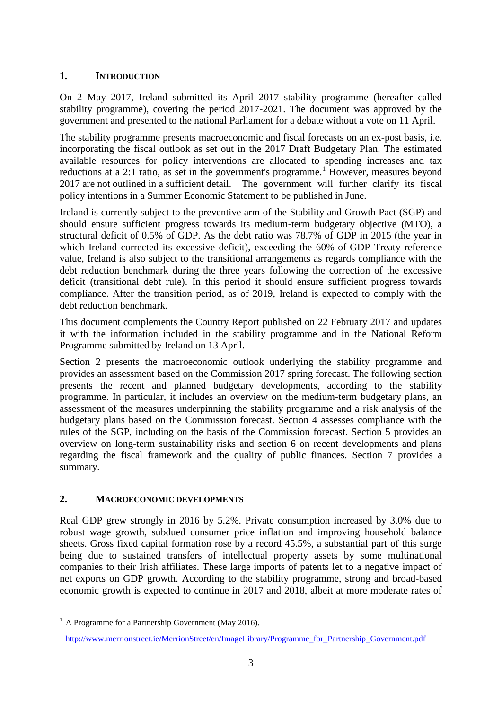# <span id="page-2-0"></span>**1. INTRODUCTION**

On 2 May 2017, Ireland submitted its April 2017 stability programme (hereafter called stability programme), covering the period 2017-2021. The document was approved by the government and presented to the national Parliament for a debate without a vote on 11 April.

The stability programme presents macroeconomic and fiscal forecasts on an ex-post basis, i.e. incorporating the fiscal outlook as set out in the 2017 Draft Budgetary Plan. The estimated available resources for policy interventions are allocated to spending increases and tax reductions at a 2:1 ratio, as set in the government's programme.<sup>1</sup> However, measures beyond 2017 are not outlined in a sufficient detail. The government will further clarify its fiscal policy intentions in a Summer Economic Statement to be published in June.

Ireland is currently subject to the preventive arm of the Stability and Growth Pact (SGP) and should ensure sufficient progress towards its medium-term budgetary objective (MTO), a structural deficit of 0.5% of GDP. As the debt ratio was 78.7% of GDP in 2015 (the year in which Ireland corrected its excessive deficit), exceeding the 60%-of-GDP Treaty reference value, Ireland is also subject to the transitional arrangements as regards compliance with the debt reduction benchmark during the three years following the correction of the excessive deficit (transitional debt rule). In this period it should ensure sufficient progress towards compliance. After the transition period, as of 2019, Ireland is expected to comply with the debt reduction benchmark.

This document complements the Country Report published on 22 February 2017 and updates it with the information included in the stability programme and in the National Reform Programme submitted by Ireland on 13 April.

Section 2 presents the macroeconomic outlook underlying the stability programme and provides an assessment based on the Commission 2017 spring forecast. The following section presents the recent and planned budgetary developments, according to the stability programme. In particular, it includes an overview on the medium-term budgetary plans, an assessment of the measures underpinning the stability programme and a risk analysis of the budgetary plans based on the Commission forecast. Section 4 assesses compliance with the rules of the SGP, including on the basis of the Commission forecast. Section 5 provides an overview on long-term sustainability risks and section 6 on recent developments and plans regarding the fiscal framework and the quality of public finances. Section 7 provides a summary.

# <span id="page-2-1"></span>**2. MACROECONOMIC DEVELOPMENTS**

Real GDP grew strongly in 2016 by 5.2%. Private consumption increased by 3.0% due to robust wage growth, subdued consumer price inflation and improving household balance sheets. Gross fixed capital formation rose by a record 45.5%, a substantial part of this surge being due to sustained transfers of intellectual property assets by some multinational companies to their Irish affiliates. These large imports of patents let to a negative impact of net exports on GDP growth. According to the stability programme, strong and broad-based economic growth is expected to continue in 2017 and 2018, albeit at more moderate rates of

1

 $<sup>1</sup>$  A Programme for a Partnership Government (May 2016).</sup>

[http://www.merrionstreet.ie/MerrionStreet/en/ImageLibrary/Programme\\_for\\_Partnership\\_Government.pdf](http://www.merrionstreet.ie/MerrionStreet/en/ImageLibrary/Programme_for_Partnership_Government.pdf)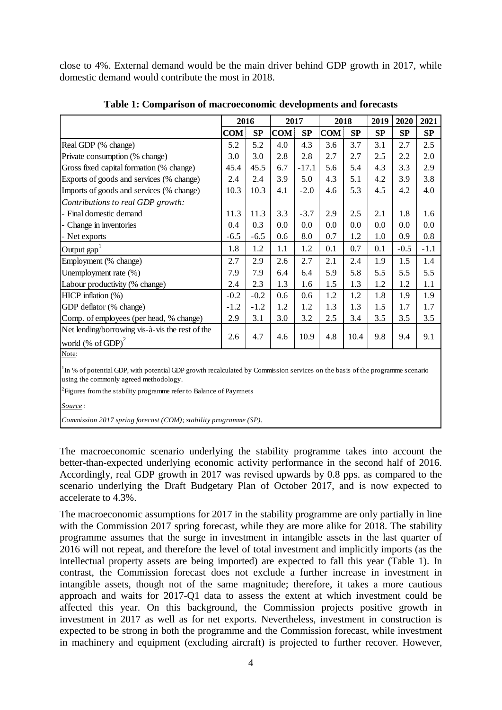close to 4%. External demand would be the main driver behind GDP growth in 2017, while domestic demand would contribute the most in 2018.

|                                                                                  | 2016       |        | 2017       |         | 2018       |      | 2019 | 2020   | 2021   |
|----------------------------------------------------------------------------------|------------|--------|------------|---------|------------|------|------|--------|--------|
|                                                                                  | <b>COM</b> | SP     | <b>COM</b> | SP      | <b>COM</b> | SP   | SP   | SP     | SP     |
| Real GDP (% change)                                                              | 5.2        | 5.2    | 4.0        | 4.3     | 3.6        | 3.7  | 3.1  | 2.7    | 2.5    |
| Private consumption (% change)                                                   | 3.0        | 3.0    | 2.8        | 2.8     | 2.7        | 2.7  | 2.5  | 2.2    | 2.0    |
| Gross fixed capital formation (% change)                                         | 45.4       | 45.5   | 6.7        | $-17.1$ | 5.6        | 5.4  | 4.3  | 3.3    | 2.9    |
| Exports of goods and services (% change)                                         | 2.4        | 2.4    | 3.9        | 5.0     | 4.3        | 5.1  | 4.2  | 3.9    | 3.8    |
| Imports of goods and services (% change)                                         | 10.3       | 10.3   | 4.1        | $-2.0$  | 4.6        | 5.3  | 4.5  | 4.2    | 4.0    |
| Contributions to real GDP growth:                                                |            |        |            |         |            |      |      |        |        |
| - Final domestic demand                                                          | 11.3       | 11.3   | 3.3        | $-3.7$  | 2.9        | 2.5  | 2.1  | 1.8    | 1.6    |
| - Change in inventories                                                          | 0.4        | 0.3    | 0.0        | 0.0     | 0.0        | 0.0  | 0.0  | 0.0    | 0.0    |
| - Net exports                                                                    | $-6.5$     | $-6.5$ | 0.6        | 8.0     | 0.7        | 1.2  | 1.0  | 0.9    | 0.8    |
| Output $\text{gap}^1$                                                            | 1.8        | 1.2    | 1.1        | 1.2     | 0.1        | 0.7  | 0.1  | $-0.5$ | $-1.1$ |
| Employment (% change)                                                            | 2.7        | 2.9    | 2.6        | 2.7     | 2.1        | 2.4  | 1.9  | 1.5    | 1.4    |
| Unemployment rate (%)                                                            | 7.9        | 7.9    | 6.4        | 6.4     | 5.9        | 5.8  | 5.5  | 5.5    | 5.5    |
| Labour productivity (% change)                                                   | 2.4        | 2.3    | 1.3        | 1.6     | 1.5        | 1.3  | 1.2  | 1.2    | 1.1    |
| HICP inflation (%)                                                               | $-0.2$     | $-0.2$ | 0.6        | 0.6     | 1.2        | 1.2  | 1.8  | 1.9    | 1.9    |
| GDP deflator (% change)                                                          | $-1.2$     | $-1.2$ | 1.2        | 1.2     | 1.3        | 1.3  | 1.5  | 1.7    | 1.7    |
| Comp. of employees (per head, % change)                                          |            | 3.1    | 3.0        | 3.2     | 2.5        | 3.4  | 3.5  | 3.5    | 3.5    |
| Net lending/borrowing vis-à-vis the rest of the<br>world $(\% \text{ of GDP})^2$ | 2.6        | 4.7    | 4.6        | 10.9    | 4.8        | 10.4 | 9.8  | 9.4    | 9.1    |

**Table 1: Comparison of macroeconomic developments and forecasts**

Note:

<sup>1</sup>In % of potential GDP, with potential GDP growth recalculated by Commission services on the basis of the programme scenario using the commonly agreed methodology.

 $2$ Figures from the stability programme refer to Balance of Paymnets

*Source :*

*Commission 2017 spring forecast (COM); stability programme (SP).*

The macroeconomic scenario underlying the stability programme takes into account the better-than-expected underlying economic activity performance in the second half of 2016. Accordingly, real GDP growth in 2017 was revised upwards by 0.8 pps. as compared to the scenario underlying the Draft Budgetary Plan of October 2017, and is now expected to accelerate to 4.3%.

The macroeconomic assumptions for 2017 in the stability programme are only partially in line with the Commission 2017 spring forecast, while they are more alike for 2018. The stability programme assumes that the surge in investment in intangible assets in the last quarter of 2016 will not repeat, and therefore the level of total investment and implicitly imports (as the intellectual property assets are being imported) are expected to fall this year (Table 1). In contrast, the Commission forecast does not exclude a further increase in investment in intangible assets, though not of the same magnitude; therefore, it takes a more cautious approach and waits for 2017-Q1 data to assess the extent at which investment could be affected this year. On this background, the Commission projects positive growth in investment in 2017 as well as for net exports. Nevertheless, investment in construction is expected to be strong in both the programme and the Commission forecast, while investment in machinery and equipment (excluding aircraft) is projected to further recover. However,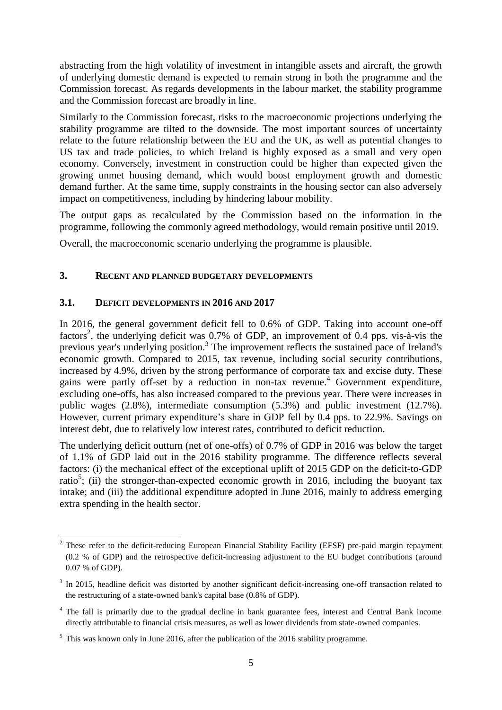abstracting from the high volatility of investment in intangible assets and aircraft, the growth of underlying domestic demand is expected to remain strong in both the programme and the Commission forecast. As regards developments in the labour market, the stability programme and the Commission forecast are broadly in line.

Similarly to the Commission forecast, risks to the macroeconomic projections underlying the stability programme are tilted to the downside. The most important sources of uncertainty relate to the future relationship between the EU and the UK, as well as potential changes to US tax and trade policies, to which Ireland is highly exposed as a small and very open economy. Conversely, investment in construction could be higher than expected given the growing unmet housing demand, which would boost employment growth and domestic demand further. At the same time, supply constraints in the housing sector can also adversely impact on competitiveness, including by hindering labour mobility.

The output gaps as recalculated by the Commission based on the information in the programme, following the commonly agreed methodology, would remain positive until 2019.

<span id="page-4-0"></span>Overall, the macroeconomic scenario underlying the programme is plausible.

## **3. RECENT AND PLANNED BUDGETARY DEVELOPMENTS**

## <span id="page-4-1"></span>**3.1. DEFICIT DEVELOPMENTS IN 2016 AND 2017**

<u>.</u>

In 2016, the general government deficit fell to 0.6% of GDP. Taking into account one-off factors<sup>2</sup>, the underlying deficit was 0.7% of GDP, an improvement of 0.4 pps. vis-à-vis the previous year's underlying position.<sup>3</sup> The improvement reflects the sustained pace of Ireland's economic growth. Compared to 2015, tax revenue, including social security contributions, increased by 4.9%, driven by the strong performance of corporate tax and excise duty. These gains were partly off-set by a reduction in non-tax revenue.<sup>4</sup> Government expenditure, excluding one-offs, has also increased compared to the previous year. There were increases in public wages (2.8%), intermediate consumption (5.3%) and public investment (12.7%). However, current primary expenditure's share in GDP fell by 0.4 pps. to 22.9%. Savings on interest debt, due to relatively low interest rates, contributed to deficit reduction.

The underlying deficit outturn (net of one-offs) of 0.7% of GDP in 2016 was below the target of 1.1% of GDP laid out in the 2016 stability programme. The difference reflects several factors: (i) the mechanical effect of the exceptional uplift of 2015 GDP on the deficit-to-GDP ratio<sup>5</sup>; (ii) the stronger-than-expected economic growth in 2016, including the buoyant tax intake; and (iii) the additional expenditure adopted in June 2016, mainly to address emerging extra spending in the health sector.

<sup>&</sup>lt;sup>2</sup> These refer to the deficit-reducing European Financial Stability Facility (EFSF) pre-paid margin repayment (0.2 % of GDP) and the retrospective deficit-increasing adjustment to the EU budget contributions (around 0.07 % of GDP).

 $3$  In 2015, headline deficit was distorted by another significant deficit-increasing one-off transaction related to the restructuring of a state-owned bank's capital base (0.8% of GDP).

<sup>&</sup>lt;sup>4</sup> The fall is primarily due to the gradual decline in bank guarantee fees, interest and Central Bank income directly attributable to financial crisis measures, as well as lower dividends from state-owned companies.

 $5$  This was known only in June 2016, after the publication of the 2016 stability programme.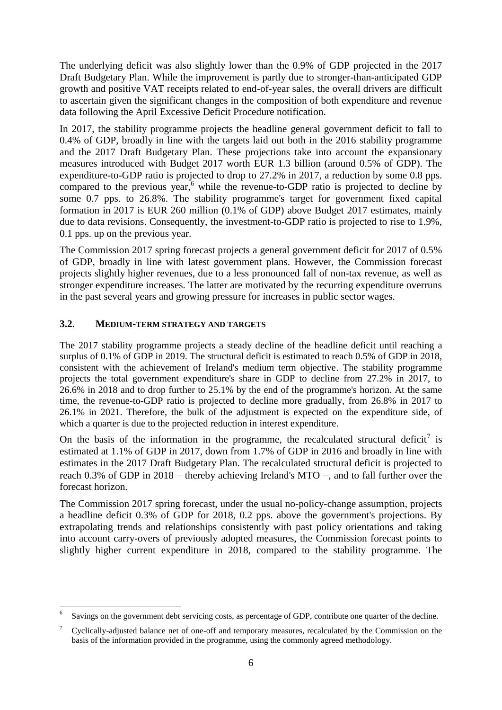The underlying deficit was also slightly lower than the 0.9% of GDP projected in the 2017 Draft Budgetary Plan. While the improvement is partly due to stronger-than-anticipated GDP growth and positive VAT receipts related to end-of-year sales, the overall drivers are difficult to ascertain given the significant changes in the composition of both expenditure and revenue data following the April Excessive Deficit Procedure notification.

In 2017, the stability programme projects the headline general government deficit to fall to 0.4% of GDP, broadly in line with the targets laid out both in the 2016 stability programme and the 2017 Draft Budgetary Plan. These projections take into account the expansionary measures introduced with Budget 2017 worth EUR 1.3 billion (around 0.5% of GDP). The expenditure-to-GDP ratio is projected to drop to 27.2% in 2017, a reduction by some 0.8 pps. compared to the previous year,<sup>6</sup> while the revenue-to-GDP ratio is projected to decline by some 0.7 pps. to 26.8%. The stability programme's target for government fixed capital formation in 2017 is EUR 260 million (0.1% of GDP) above Budget 2017 estimates, mainly due to data revisions. Consequently, the investment-to-GDP ratio is projected to rise to 1.9%, 0.1 pps. up on the previous year.

The Commission 2017 spring forecast projects a general government deficit for 2017 of 0.5% of GDP, broadly in line with latest government plans. However, the Commission forecast projects slightly higher revenues, due to a less pronounced fall of non-tax revenue, as well as stronger expenditure increases. The latter are motivated by the recurring expenditure overruns in the past several years and growing pressure for increases in public sector wages.

# <span id="page-5-0"></span>**3.2. MEDIUM-TERM STRATEGY AND TARGETS**

1

The 2017 stability programme projects a steady decline of the headline deficit until reaching a surplus of 0.1% of GDP in 2019. The structural deficit is estimated to reach 0.5% of GDP in 2018, consistent with the achievement of Ireland's medium term objective. The stability programme projects the total government expenditure's share in GDP to decline from 27.2% in 2017, to 26.6% in 2018 and to drop further to 25.1% by the end of the programme's horizon. At the same time, the revenue-to-GDP ratio is projected to decline more gradually, from 26.8% in 2017 to 26.1% in 2021. Therefore, the bulk of the adjustment is expected on the expenditure side, of which a quarter is due to the projected reduction in interest expenditure.

On the basis of the information in the programme, the recalculated structural deficit<sup>7</sup> is estimated at 1.1% of GDP in 2017, down from 1.7% of GDP in 2016 and broadly in line with estimates in the 2017 Draft Budgetary Plan. The recalculated structural deficit is projected to reach 0.3% of GDP in  $2018$  – thereby achieving Ireland's MTO –, and to fall further over the forecast horizon.

The Commission 2017 spring forecast, under the usual no-policy-change assumption, projects a headline deficit 0.3% of GDP for 2018, 0.2 pps. above the government's projections. By extrapolating trends and relationships consistently with past policy orientations and taking into account carry-overs of previously adopted measures, the Commission forecast points to slightly higher current expenditure in 2018, compared to the stability programme. The

<sup>6</sup> Savings on the government debt servicing costs, as percentage of GDP, contribute one quarter of the decline.

<sup>7</sup> Cyclically-adjusted balance net of one-off and temporary measures, recalculated by the Commission on the basis of the information provided in the programme, using the commonly agreed methodology.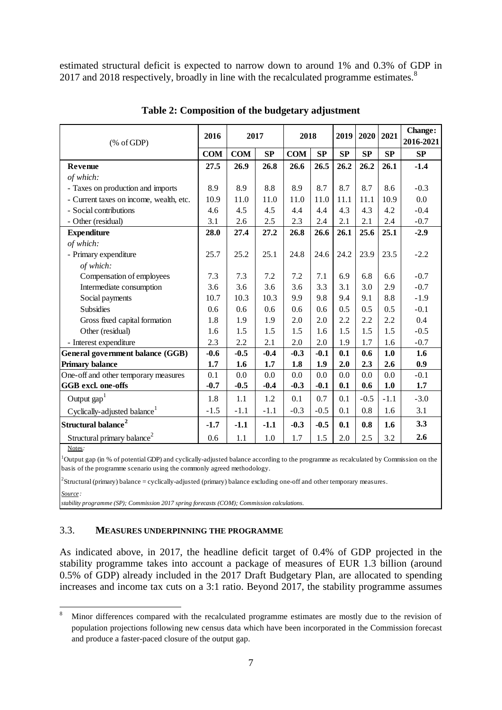estimated structural deficit is expected to narrow down to around 1% and 0.3% of GDP in 2017 and 2018 respectively, broadly in line with the recalculated programme estimates.<sup>8</sup>

| $(% \mathcal{L}_{0}^{\infty}$ (% of GDP) | 2016   | 2017       |        | 2018       |        | 2019      | 2020   | 2021   | Change:<br>2016-2021 |
|------------------------------------------|--------|------------|--------|------------|--------|-----------|--------|--------|----------------------|
| <b>COM</b>                               |        | <b>COM</b> | SP     | <b>COM</b> | SP     | <b>SP</b> | SP     | SP     | <b>SP</b>            |
| <b>Revenue</b>                           |        | 26.9       | 26.8   | 26.6       | 26.5   | 26.2      | 26.2   | 26.1   | $-1.4$               |
| of which:                                |        |            |        |            |        |           |        |        |                      |
| - Taxes on production and imports        | 8.9    | 8.9        | 8.8    | 8.9        | 8.7    | 8.7       | 8.7    | 8.6    | $-0.3$               |
| - Current taxes on income, wealth, etc.  | 10.9   | 11.0       | 11.0   | 11.0       | 11.0   | 11.1      | 11.1   | 10.9   | 0.0                  |
| - Social contributions                   | 4.6    | 4.5        | 4.5    | 4.4        | 4.4    | 4.3       | 4.3    | 4.2    | $-0.4$               |
| - Other (residual)                       | 3.1    | 2.6        | 2.5    | 2.3        | 2.4    | 2.1       | 2.1    | 2.4    | $-0.7$               |
| <b>Expenditure</b>                       | 28.0   | 27.4       | 27.2   | 26.8       | 26.6   | 26.1      | 25.6   | 25.1   | $-2.9$               |
| of which:                                |        |            |        |            |        |           |        |        |                      |
| - Primary expenditure                    | 25.7   | 25.2       | 25.1   | 24.8       | 24.6   | 24.2      | 23.9   | 23.5   | $-2.2$               |
| of which:                                |        |            |        |            |        |           |        |        |                      |
| Compensation of employees                | 7.3    | 7.3        | 7.2    | 7.2        | 7.1    | 6.9       | 6.8    | 6.6    | $-0.7$               |
| Intermediate consumption                 | 3.6    | 3.6        | 3.6    | 3.6        | 3.3    | 3.1       | 3.0    | 2.9    | $-0.7$               |
| Social payments                          | 10.7   | 10.3       | 10.3   | 9.9        | 9.8    | 9.4       | 9.1    | 8.8    | $-1.9$               |
| <b>Subsidies</b>                         | 0.6    | 0.6        | 0.6    | 0.6        | 0.6    | 0.5       | 0.5    | 0.5    | $-0.1$               |
| Gross fixed capital formation            | 1.8    | 1.9        | 1.9    | 2.0        | 2.0    | 2.2       | 2.2    | 2.2    | 0.4                  |
| Other (residual)                         | 1.6    | 1.5        | 1.5    | 1.5        | 1.6    | 1.5       | 1.5    | 1.5    | $-0.5$               |
| - Interest expenditure                   | 2.3    | 2.2        | 2.1    | 2.0        | 2.0    | 1.9       | 1.7    | 1.6    | $-0.7$               |
| <b>General government balance (GGB)</b>  | $-0.6$ | $-0.5$     | $-0.4$ | $-0.3$     | $-0.1$ | 0.1       | 0.6    | 1.0    | 1.6                  |
| <b>Primary balance</b>                   | 1.7    | 1.6        | 1.7    | 1.8        | 1.9    | 2.0       | 2.3    | 2.6    | 0.9                  |
| One-off and other temporary measures     | 0.1    | 0.0        | 0.0    | 0.0        | 0.0    | 0.0       | 0.0    | 0.0    | $-0.1$               |
| GGB excl. one-offs                       | $-0.7$ | $-0.5$     | $-0.4$ | $-0.3$     | $-0.1$ | 0.1       | 0.6    | 1.0    | 1.7                  |
| Output $\text{gap}^1$                    | 1.8    | 1.1        | 1.2    | 0.1        | 0.7    | 0.1       | $-0.5$ | $-1.1$ | $-3.0$               |
| Cyclically-adjusted balance <sup>1</sup> | $-1.5$ | $-1.1$     | $-1.1$ | $-0.3$     | $-0.5$ | 0.1       | 0.8    | 1.6    | 3.1                  |
| Structural balance <sup>2</sup>          | $-1.7$ | $-1.1$     | $-1.1$ | $-0.3$     | $-0.5$ | 0.1       | 0.8    | 1.6    | 3.3                  |
| Structural primary balance <sup>2</sup>  | 0.6    | 1.1        | 1.0    | 1.7        | 1.5    | 2.0       | 2.5    | 3.2    | 2.6                  |

**Table 2: Composition of the budgetary adjustment**

Notes*:*

<sup>1</sup>Output gap (in % of potential GDP) and cyclically-adjusted balance according to the programme as recalculated by Commission on the basis of the programme scenario using the commonly agreed methodology.

 ${}^{2}$ Structural (primary) balance = cyclically-adjusted (primary) balance excluding one-off and other temporary measures.

*Source :*

*stability programme (SP); Commission 2017 spring forecasts (COM); Commission calculations.*

### <span id="page-6-0"></span>3.3. **MEASURES UNDERPINNING THE PROGRAMME**

As indicated above, in 2017, the headline deficit target of 0.4% of GDP projected in the stability programme takes into account a package of measures of EUR 1.3 billion (around 0.5% of GDP) already included in the 2017 Draft Budgetary Plan, are allocated to spending increases and income tax cuts on a 3:1 ratio. Beyond 2017, the stability programme assumes

 $\,$  8  $\,$ <sup>8</sup> Minor differences compared with the recalculated programme estimates are mostly due to the revision of population projections following new census data which have been incorporated in the Commission forecast and produce a faster-paced closure of the output gap.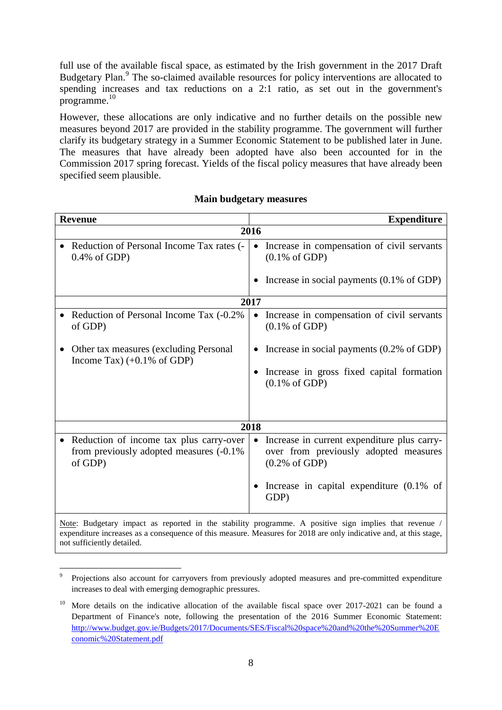full use of the available fiscal space, as estimated by the Irish government in the 2017 Draft Budgetary Plan.<sup>9</sup> The so-claimed available resources for policy interventions are allocated to spending increases and tax reductions on a 2:1 ratio, as set out in the government's programme. 10

However, these allocations are only indicative and no further details on the possible new measures beyond 2017 are provided in the stability programme. The government will further clarify its budgetary strategy in a Summer Economic Statement to be published later in June. The measures that have already been adopted have also been accounted for in the Commission 2017 spring forecast. Yields of the fiscal policy measures that have already been specified seem plausible.

| <b>Revenue</b>                                                                                 |                | <b>Expenditure</b>                                                                                                                                                                                                         |
|------------------------------------------------------------------------------------------------|----------------|----------------------------------------------------------------------------------------------------------------------------------------------------------------------------------------------------------------------------|
|                                                                                                | 2016           |                                                                                                                                                                                                                            |
| Reduction of Personal Income Tax rates (-<br>$0.4\%$ of GDP)                                   | $\bullet$      | Increase in compensation of civil servants<br>$(0.1\% \text{ of GDP})$                                                                                                                                                     |
|                                                                                                | ٠              | Increase in social payments $(0.1\% \text{ of GDP})$                                                                                                                                                                       |
|                                                                                                | 2017           |                                                                                                                                                                                                                            |
| Reduction of Personal Income Tax (-0.2%)<br>of GDP)                                            | $\bullet$      | Increase in compensation of civil servants<br>$(0.1\% \text{ of GDP})$                                                                                                                                                     |
| Other tax measures (excluding Personal<br>Income Tax) $(+0.1\% \text{ of GDP})$                | ٠<br>$\bullet$ | Increase in social payments $(0.2\% \text{ of GDP})$<br>Increase in gross fixed capital formation<br>$(0.1\% \text{ of GDP})$                                                                                              |
|                                                                                                | 2018           |                                                                                                                                                                                                                            |
| Reduction of income tax plus carry-over<br>from previously adopted measures (-0.1%)<br>of GDP) | $\bullet$<br>٠ | Increase in current expenditure plus carry-<br>over from previously adopted measures<br>$(0.2\% \text{ of GDP})$<br>Increase in capital expenditure $(0.1\% \text{ of }$<br>GDP)                                           |
|                                                                                                |                | Note: Budgetary impact as reported in the stability programme. A positive sign implies that revenue /<br>expenditure increases as a consequence of this measure. Measures for 2018 are only indicative and, at this stage, |

## **Main budgetary measures**

not sufficiently detailed.

<sup>1</sup> 9 Projections also account for carryovers from previously adopted measures and pre-committed expenditure increases to deal with emerging demographic pressures.

<sup>&</sup>lt;sup>10</sup> More details on the indicative allocation of the available fiscal space over 2017-2021 can be found a Department of Finance's note, following the presentation of the 2016 Summer Economic Statement: [http://www.budget.gov.ie/Budgets/2017/Documents/SES/Fiscal%20space%20and%20the%20Summer%20E](http://www.budget.gov.ie/Budgets/2017/Documents/SES/Fiscal%20space%20and%20the%20Summer%20Economic%20Statement.pdf) [conomic%20Statement.pdf](http://www.budget.gov.ie/Budgets/2017/Documents/SES/Fiscal%20space%20and%20the%20Summer%20Economic%20Statement.pdf)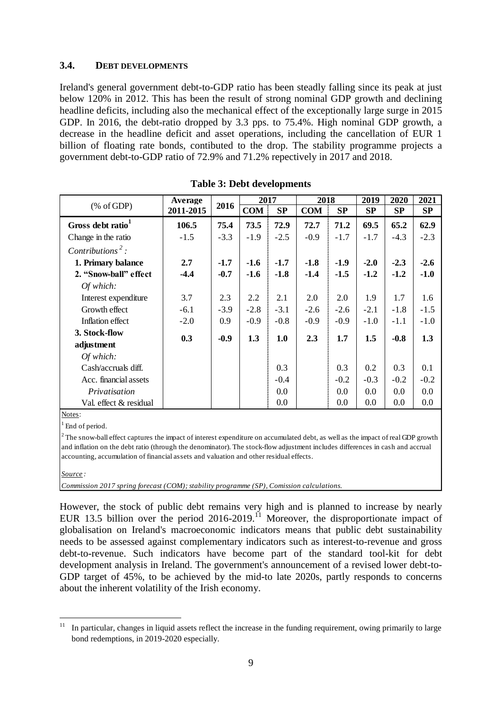### <span id="page-8-0"></span>**3.4. DEBT DEVELOPMENTS**

Ireland's general government debt-to-GDP ratio has been steadly falling since its peak at just below 120% in 2012. This has been the result of strong nominal GDP growth and declining headline deficits, including also the mechanical effect of the exceptionally large surge in 2015 GDP. In 2016, the debt-ratio dropped by 3.3 pps. to 75.4%. High nominal GDP growth, a decrease in the headline deficit and asset operations, including the cancellation of EUR 1 billion of floating rate bonds, contibuted to the drop. The stability programme projects a government debt-to-GDP ratio of 72.9% and 71.2% repectively in 2017 and 2018.

|                               | Average   | 2016   | 2017       |        | 2018       |        | 2019      | 2020   | 2021   |
|-------------------------------|-----------|--------|------------|--------|------------|--------|-----------|--------|--------|
| % of GDP                      | 2011-2015 |        | <b>COM</b> | SP     | <b>COM</b> | SP     | <b>SP</b> | SP     | SP     |
| Gross debt ratio <sup>1</sup> | 106.5     | 75.4   | 73.5       | 72.9   | 72.7       | 71.2   | 69.5      | 65.2   | 62.9   |
| Change in the ratio           | $-1.5$    | $-3.3$ | $-1.9$     | $-2.5$ | $-0.9$     | $-1.7$ | $-1.7$    | $-4.3$ | $-2.3$ |
| Contributions <sup>2</sup> :  |           |        |            |        |            |        |           |        |        |
| 1. Primary balance            | 2.7       | $-1.7$ | $-1.6$     | $-1.7$ | $-1.8$     | $-1.9$ | $-2.0$    | $-2.3$ | $-2.6$ |
| 2. "Snow-ball" effect         | $-4.4$    | $-0.7$ | $-1.6$     | $-1.8$ | $-1.4$     | $-1.5$ | $-1.2$    | $-1.2$ | $-1.0$ |
| Of which:                     |           |        |            |        |            |        |           |        |        |
| Interest expenditure          | 3.7       | 2.3    | 2.2        | 2.1    | 2.0        | 2.0    | 1.9       | 1.7    | 1.6    |
| Growth effect                 | $-6.1$    | $-3.9$ | $-2.8$     | $-3.1$ | $-2.6$     | $-2.6$ | $-2.1$    | $-1.8$ | $-1.5$ |
| Inflation effect              | $-2.0$    | 0.9    | $-0.9$     | $-0.8$ | $-0.9$     | $-0.9$ | $-1.0$    | $-1.1$ | $-1.0$ |
| 3. Stock-flow                 | 0.3       | $-0.9$ | 1.3        | 1.0    | 2.3        | 1.7    | 1.5       | $-0.8$ | 1.3    |
| adjustment                    |           |        |            |        |            |        |           |        |        |
| Of which:                     |           |        |            |        |            |        |           |        |        |
| Cash/accruals diff.           |           |        |            | 0.3    |            | 0.3    | 0.2       | 0.3    | 0.1    |
| Acc. financial assets         |           |        |            | $-0.4$ |            | $-0.2$ | $-0.3$    | $-0.2$ | $-0.2$ |
| Privatisation                 |           |        |            | 0.0    |            | 0.0    | 0.0       | 0.0    | 0.0    |
| Val. effect & residual        |           |        |            | 0.0    |            | 0.0    | 0.0       | 0.0    | 0.0    |

### **Table 3: Debt developments**

Notes:

End of period.

 $2$ <sup>2</sup> The snow-ball effect captures the impact of interest expenditure on accumulated debt, as well as the impact of real GDP growth and inflation on the debt ratio (through the denominator). The stock-flow adjustment includes differences in cash and accrual accounting, accumulation of financial assets and valuation and other residual effects.

#### *Source :*

1

*Commission 2017 spring forecast (COM); stability programme (SP), Comission calculations.*

However, the stock of public debt remains very high and is planned to increase by nearly EUR 13.5 billion over the period  $2016-2019$ .<sup>11</sup> Moreover, the disproportionate impact of globalisation on Ireland's macroeconomic indicators means that public debt sustainability needs to be assessed against complementary indicators such as interest-to-revenue and gross debt-to-revenue. Such indicators have become part of the standard tool-kit for debt development analysis in Ireland. The government's announcement of a revised lower debt-to-GDP target of 45%, to be achieved by the mid-to late 2020s, partly responds to concerns about the inherent volatility of the Irish economy.

In particular, changes in liquid assets reflect the increase in the funding requirement, owing primarily to large bond redemptions, in 2019-2020 especially.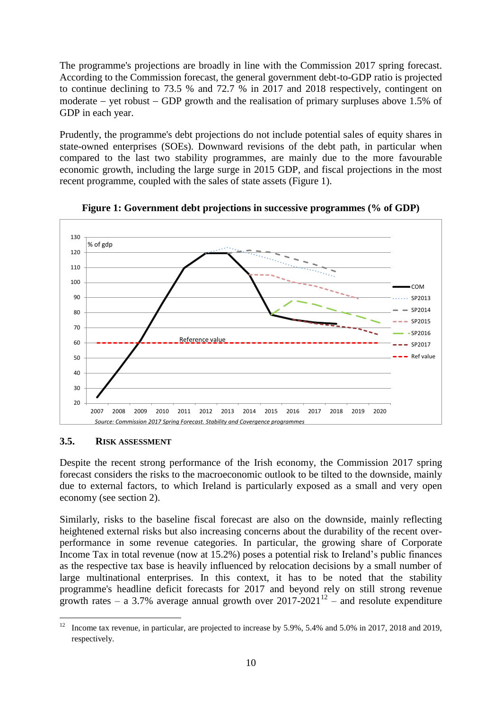The programme's projections are broadly in line with the Commission 2017 spring forecast. According to the Commission forecast, the general government debt-to-GDP ratio is projected to continue declining to 73.5 % and 72.7 % in 2017 and 2018 respectively, contingent on moderate  $-$  vet robust  $-$  GDP growth and the realisation of primary surpluses above 1.5% of GDP in each year.

Prudently, the programme's debt projections do not include potential sales of equity shares in state-owned enterprises (SOEs). Downward revisions of the debt path, in particular when compared to the last two stability programmes, are mainly due to the more favourable economic growth, including the large surge in 2015 GDP, and fiscal projections in the most recent programme, coupled with the sales of state assets (Figure 1).



**Figure 1: Government debt projections in successive programmes (% of GDP)**

# <span id="page-9-0"></span>**3.5. RISK ASSESSMENT**

Despite the recent strong performance of the Irish economy, the Commission 2017 spring forecast considers the risks to the macroeconomic outlook to be tilted to the downside, mainly due to external factors, to which Ireland is particularly exposed as a small and very open economy (see section 2).

Similarly, risks to the baseline fiscal forecast are also on the downside, mainly reflecting heightened external risks but also increasing concerns about the durability of the recent overperformance in some revenue categories. In particular, the growing share of Corporate Income Tax in total revenue (now at 15.2%) poses a potential risk to Ireland's public finances as the respective tax base is heavily influenced by relocation decisions by a small number of large multinational enterprises. In this context, it has to be noted that the stability programme's headline deficit forecasts for 2017 and beyond rely on still strong revenue growth rates – a 3.7% average annual growth over  $2017-2021^{12}$  – and resolute expenditure

 $12$ <sup>12</sup> Income tax revenue, in particular, are projected to increase by 5.9%, 5.4% and 5.0% in 2017, 2018 and 2019, respectively.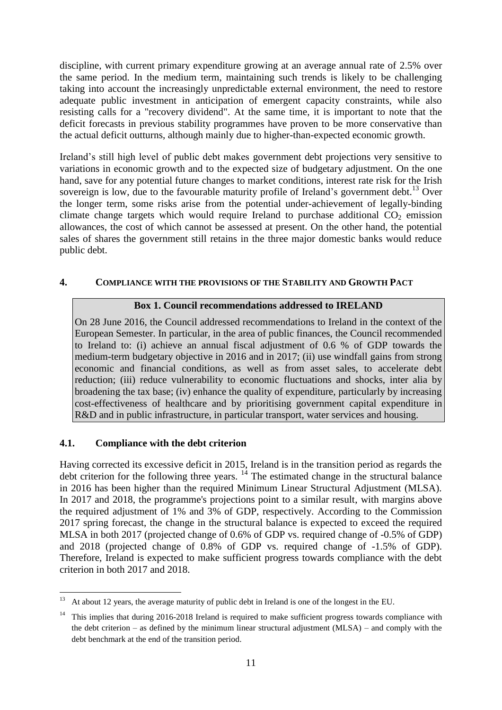discipline, with current primary expenditure growing at an average annual rate of 2.5% over the same period. In the medium term, maintaining such trends is likely to be challenging taking into account the increasingly unpredictable external environment, the need to restore adequate public investment in anticipation of emergent capacity constraints, while also resisting calls for a "recovery dividend". At the same time, it is important to note that the deficit forecasts in previous stability programmes have proven to be more conservative than the actual deficit outturns, although mainly due to higher-than-expected economic growth.

Ireland's still high level of public debt makes government debt projections very sensitive to variations in economic growth and to the expected size of budgetary adjustment. On the one hand, save for any potential future changes to market conditions, interest rate risk for the Irish sovereign is low, due to the favourable maturity profile of Ireland's government debt.<sup>13</sup> Over the longer term, some risks arise from the potential under-achievement of legally-binding climate change targets which would require Ireland to purchase additional  $CO<sub>2</sub>$  emission allowances, the cost of which cannot be assessed at present. On the other hand, the potential sales of shares the government still retains in the three major domestic banks would reduce public debt.

# <span id="page-10-0"></span>**4. COMPLIANCE WITH THE PROVISIONS OF THE STABILITY AND GROWTH PACT**

# **Box 1. Council recommendations addressed to IRELAND**

On 28 June 2016, the Council addressed recommendations to Ireland in the context of the European Semester. In particular, in the area of public finances, the Council recommended to Ireland to: (i) achieve an annual fiscal adjustment of 0.6 % of GDP towards the medium-term budgetary objective in 2016 and in 2017; (ii) use windfall gains from strong economic and financial conditions, as well as from asset sales, to accelerate debt reduction; (iii) reduce vulnerability to economic fluctuations and shocks, inter alia by broadening the tax base; (iv) enhance the quality of expenditure, particularly by increasing cost-effectiveness of healthcare and by prioritising government capital expenditure in R&D and in public infrastructure, in particular transport, water services and housing.

# <span id="page-10-1"></span>**4.1. Compliance with the debt criterion**

<u>.</u>

Having corrected its excessive deficit in 2015, Ireland is in the transition period as regards the debt criterion for the following three years.  $14$  The estimated change in the structural balance in 2016 has been higher than the required Minimum Linear Structural Adjustment (MLSA). In 2017 and 2018, the programme's projections point to a similar result, with margins above the required adjustment of 1% and 3% of GDP, respectively. According to the Commission 2017 spring forecast, the change in the structural balance is expected to exceed the required MLSA in both 2017 (projected change of 0.6% of GDP vs. required change of -0.5% of GDP) and 2018 (projected change of 0.8% of GDP vs. required change of -1.5% of GDP). Therefore, Ireland is expected to make sufficient progress towards compliance with the debt criterion in both 2017 and 2018.

<sup>13</sup> At about 12 years, the average maturity of public debt in Ireland is one of the longest in the EU.

<sup>&</sup>lt;sup>14</sup> This implies that during 2016-2018 Ireland is required to make sufficient progress towards compliance with the debt criterion – as defined by the minimum linear structural adjustment (MLSA) – and comply with the debt benchmark at the end of the transition period.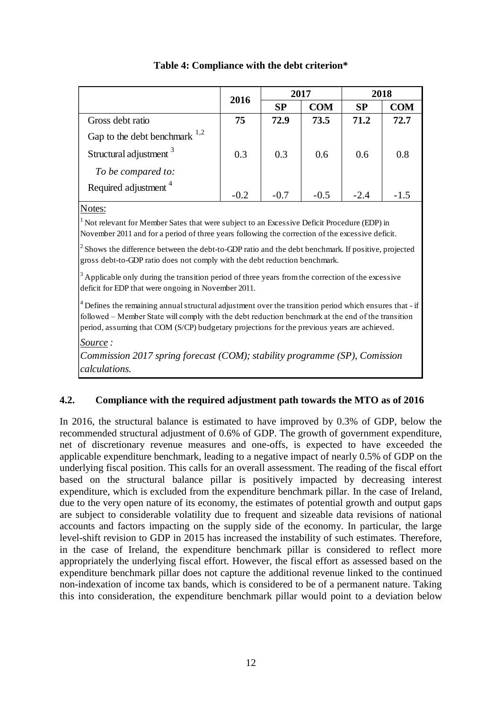|                                    | 2016   | 2017      |            | 2018   |            |  |
|------------------------------------|--------|-----------|------------|--------|------------|--|
|                                    |        | <b>SP</b> | <b>COM</b> | SP     | <b>COM</b> |  |
| Gross debt ratio                   | 75     | 72.9      | 73.5       | 71.2   | 72.7       |  |
| Gap to the debt benchmark $^{1,2}$ |        |           |            |        |            |  |
| Structural adjustment <sup>3</sup> | 0.3    | 0.3       | 0.6        | 0.6    | 0.8        |  |
| To be compared to:                 |        |           |            |        |            |  |
| Required adjustment <sup>4</sup>   | $-0.2$ | $-0.7$    | $-0.5$     | $-2.4$ |            |  |

# **Table 4: Compliance with the debt criterion\***

### Notes:

<sup>1</sup> Not relevant for Member Sates that were subject to an Excessive Deficit Procedure (EDP) in November 2011 and for a period of three years following the correction of the excessive deficit.

 $<sup>2</sup>$  Shows the difference between the debt-to-GDP ratio and the debt benchmark. If positive, projected</sup> gross debt-to-GDP ratio does not comply with the debt reduction benchmark.

 $3$  Applicable only during the transition period of three years from the correction of the excessive deficit for EDP that were ongoing in November 2011.

 $4$  Defines the remaining annual structural adjustment over the transition period which ensures that - if followed – Member State will comply with the debt reduction benchmark at the end of the transition period, assuming that COM (S/CP) budgetary projections for the previous years are achieved.

*Source :*

*Commission 2017 spring forecast (COM); stability programme (SP), Comission calculations.*

# <span id="page-11-0"></span>**4.2. Compliance with the required adjustment path towards the MTO as of 2016**

In 2016, the structural balance is estimated to have improved by 0.3% of GDP, below the recommended structural adjustment of 0.6% of GDP. The growth of government expenditure, net of discretionary revenue measures and one-offs, is expected to have exceeded the applicable expenditure benchmark, leading to a negative impact of nearly 0.5% of GDP on the underlying fiscal position. This calls for an overall assessment. The reading of the fiscal effort based on the structural balance pillar is positively impacted by decreasing interest expenditure, which is excluded from the expenditure benchmark pillar. In the case of Ireland, due to the very open nature of its economy, the estimates of potential growth and output gaps are subject to considerable volatility due to frequent and sizeable data revisions of national accounts and factors impacting on the supply side of the economy. In particular, the large level-shift revision to GDP in 2015 has increased the instability of such estimates. Therefore, in the case of Ireland, the expenditure benchmark pillar is considered to reflect more appropriately the underlying fiscal effort. However, the fiscal effort as assessed based on the expenditure benchmark pillar does not capture the additional revenue linked to the continued non-indexation of income tax bands, which is considered to be of a permanent nature. Taking this into consideration, the expenditure benchmark pillar would point to a deviation below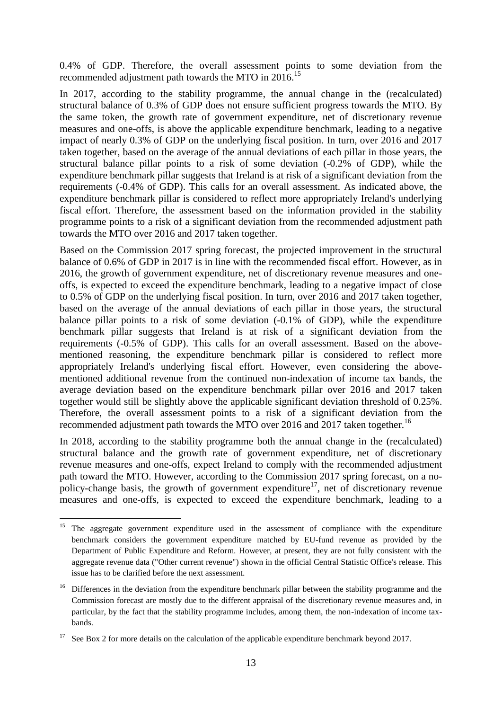0.4% of GDP. Therefore, the overall assessment points to some deviation from the recommended adjustment path towards the MTO in 2016.<sup>15</sup>

In 2017, according to the stability programme, the annual change in the (recalculated) structural balance of 0.3% of GDP does not ensure sufficient progress towards the MTO. By the same token, the growth rate of government expenditure, net of discretionary revenue measures and one-offs, is above the applicable expenditure benchmark, leading to a negative impact of nearly 0.3% of GDP on the underlying fiscal position. In turn, over 2016 and 2017 taken together, based on the average of the annual deviations of each pillar in those years, the structural balance pillar points to a risk of some deviation (-0.2% of GDP), while the expenditure benchmark pillar suggests that Ireland is at risk of a significant deviation from the requirements (-0.4% of GDP). This calls for an overall assessment. As indicated above, the expenditure benchmark pillar is considered to reflect more appropriately Ireland's underlying fiscal effort. Therefore, the assessment based on the information provided in the stability programme points to a risk of a significant deviation from the recommended adjustment path towards the MTO over 2016 and 2017 taken together.

Based on the Commission 2017 spring forecast, the projected improvement in the structural balance of 0.6% of GDP in 2017 is in line with the recommended fiscal effort. However, as in 2016, the growth of government expenditure, net of discretionary revenue measures and oneoffs, is expected to exceed the expenditure benchmark, leading to a negative impact of close to 0.5% of GDP on the underlying fiscal position. In turn, over 2016 and 2017 taken together, based on the average of the annual deviations of each pillar in those years, the structural balance pillar points to a risk of some deviation (-0.1% of GDP), while the expenditure benchmark pillar suggests that Ireland is at risk of a significant deviation from the requirements (-0.5% of GDP). This calls for an overall assessment. Based on the abovementioned reasoning, the expenditure benchmark pillar is considered to reflect more appropriately Ireland's underlying fiscal effort. However, even considering the abovementioned additional revenue from the continued non-indexation of income tax bands, the average deviation based on the expenditure benchmark pillar over 2016 and 2017 taken together would still be slightly above the applicable significant deviation threshold of 0.25%. Therefore, the overall assessment points to a risk of a significant deviation from the recommended adjustment path towards the MTO over 2016 and 2017 taken together.<sup>16</sup>

In 2018, according to the stability programme both the annual change in the (recalculated) structural balance and the growth rate of government expenditure, net of discretionary revenue measures and one-offs, expect Ireland to comply with the recommended adjustment path toward the MTO. However, according to the Commission 2017 spring forecast, on a nopolicy-change basis, the growth of government expenditure<sup>17</sup>, net of discretionary revenue measures and one-offs, is expected to exceed the expenditure benchmark, leading to a

<sup>1</sup> <sup>15</sup> The aggregate government expenditure used in the assessment of compliance with the expenditure benchmark considers the government expenditure matched by EU-fund revenue as provided by the Department of Public Expenditure and Reform. However, at present, they are not fully consistent with the aggregate revenue data ("Other current revenue") shown in the official Central Statistic Office's release. This issue has to be clarified before the next assessment.

<sup>&</sup>lt;sup>16</sup> Differences in the deviation from the expenditure benchmark pillar between the stability programme and the Commission forecast are mostly due to the different appraisal of the discretionary revenue measures and, in particular, by the fact that the stability programme includes, among them, the non-indexation of income taxbands.

See Box 2 for more details on the calculation of the applicable expenditure benchmark beyond 2017.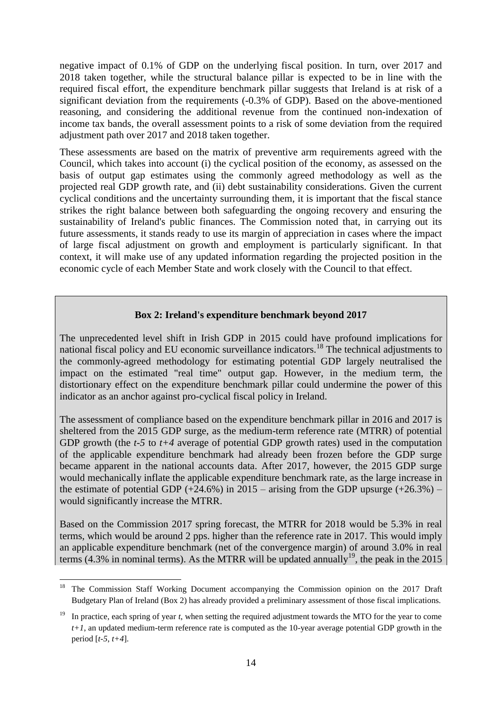negative impact of 0.1% of GDP on the underlying fiscal position. In turn, over 2017 and 2018 taken together, while the structural balance pillar is expected to be in line with the required fiscal effort, the expenditure benchmark pillar suggests that Ireland is at risk of a significant deviation from the requirements (-0.3% of GDP). Based on the above-mentioned reasoning, and considering the additional revenue from the continued non-indexation of income tax bands, the overall assessment points to a risk of some deviation from the required adjustment path over 2017 and 2018 taken together.

These assessments are based on the matrix of preventive arm requirements agreed with the Council, which takes into account (i) the cyclical position of the economy, as assessed on the basis of output gap estimates using the commonly agreed methodology as well as the projected real GDP growth rate, and (ii) debt sustainability considerations. Given the current cyclical conditions and the uncertainty surrounding them, it is important that the fiscal stance strikes the right balance between both safeguarding the ongoing recovery and ensuring the sustainability of Ireland's public finances. The Commission noted that, in carrying out its future assessments, it stands ready to use its margin of appreciation in cases where the impact of large fiscal adjustment on growth and employment is particularly significant. In that context, it will make use of any updated information regarding the projected position in the economic cycle of each Member State and work closely with the Council to that effect.

# **Box 2: Ireland's expenditure benchmark beyond 2017**

The unprecedented level shift in Irish GDP in 2015 could have profound implications for national fiscal policy and EU economic surveillance indicators.<sup>18</sup> The technical adjustments to the commonly-agreed methodology for estimating potential GDP largely neutralised the impact on the estimated "real time" output gap. However, in the medium term, the distortionary effect on the expenditure benchmark pillar could undermine the power of this indicator as an anchor against pro-cyclical fiscal policy in Ireland.

The assessment of compliance based on the expenditure benchmark pillar in 2016 and 2017 is sheltered from the 2015 GDP surge, as the medium-term reference rate (MTRR) of potential GDP growth (the *t-5* to *t+4* average of potential GDP growth rates) used in the computation of the applicable expenditure benchmark had already been frozen before the GDP surge became apparent in the national accounts data. After 2017, however, the 2015 GDP surge would mechanically inflate the applicable expenditure benchmark rate, as the large increase in the estimate of potential GDP  $(+24.6%)$  in 2015 – arising from the GDP upsurge  $(+26.3%)$  – would significantly increase the MTRR.

Based on the Commission 2017 spring forecast, the MTRR for 2018 would be 5.3% in real terms, which would be around 2 pps. higher than the reference rate in 2017. This would imply an applicable expenditure benchmark (net of the convergence margin) of around 3.0% in real terms (4.3% in nominal terms). As the MTRR will be updated annually<sup>19</sup>, the peak in the 2015

1

<sup>18</sup> The Commission Staff Working Document accompanying the Commission opinion on the 2017 Draft Budgetary Plan of Ireland (Box 2) has already provided a preliminary assessment of those fiscal implications.

In practice, each spring of year *t*, when setting the required adjustment towards the MTO for the year to come *t+1*, an updated medium-term reference rate is computed as the 10-year average potential GDP growth in the period [*t-5*, *t+4*].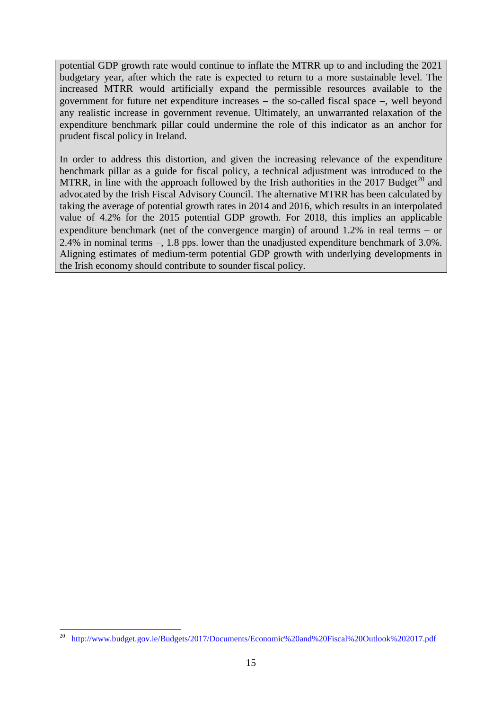potential GDP growth rate would continue to inflate the MTRR up to and including the 2021 budgetary year, after which the rate is expected to return to a more sustainable level. The increased MTRR would artificially expand the permissible resources available to the government for future net expenditure increases  $-$  the so-called fiscal space  $-$ , well beyond any realistic increase in government revenue. Ultimately, an unwarranted relaxation of the expenditure benchmark pillar could undermine the role of this indicator as an anchor for prudent fiscal policy in Ireland.

In order to address this distortion, and given the increasing relevance of the expenditure benchmark pillar as a guide for fiscal policy, a technical adjustment was introduced to the MTRR, in line with the approach followed by the Irish authorities in the  $2017$  Budget<sup>20</sup> and advocated by the Irish Fiscal Advisory Council. The alternative MTRR has been calculated by taking the average of potential growth rates in 2014 and 2016, which results in an interpolated value of 4.2% for the 2015 potential GDP growth. For 2018, this implies an applicable expenditure benchmark (net of the convergence margin) of around  $1.2\%$  in real terms – or 2.4% in nominal terms  $-$ , 1.8 pps. lower than the unadjusted expenditure benchmark of 3.0%. Aligning estimates of medium-term potential GDP growth with underlying developments in the Irish economy should contribute to sounder fiscal policy.

<u>.</u>

<sup>20</sup> <http://www.budget.gov.ie/Budgets/2017/Documents/Economic%20and%20Fiscal%20Outlook%202017.pdf>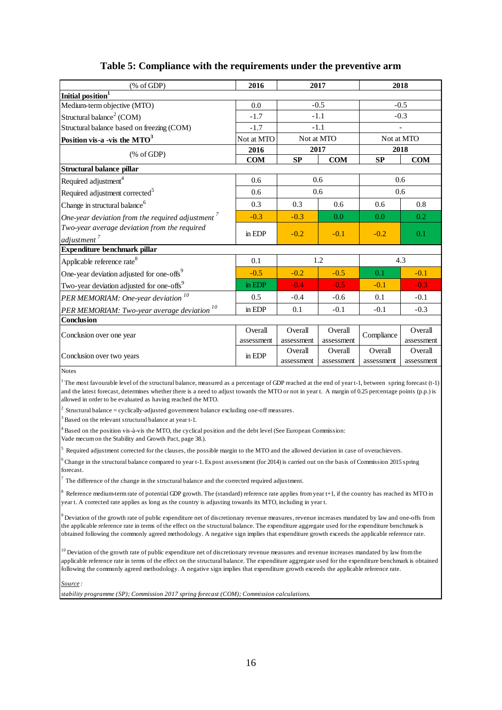| % of GDP                                                   | 2016       | 2017       |            | 2018       |            |  |
|------------------------------------------------------------|------------|------------|------------|------------|------------|--|
| Initial position <sup>1</sup>                              |            |            |            |            |            |  |
| Medium-term objective (MTO)                                | 0.0        |            | $-0.5$     | $-0.5$     |            |  |
| Structural balance <sup>2</sup> (COM)                      | $-1.7$     |            | $-1.1$     |            | $-0.3$     |  |
| Structural balance based on freezing (COM)                 | $-1.7$     |            | $-1.1$     |            |            |  |
| Position vis-a -vis the $MTO3$                             | Not at MTO |            | Not at MTO | Not at MTO |            |  |
|                                                            | 2016       |            | 2017       |            | 2018       |  |
| % of GDP                                                   | <b>COM</b> | <b>SP</b>  | <b>COM</b> | <b>SP</b>  | <b>COM</b> |  |
| Structural balance pillar                                  |            |            |            |            |            |  |
| Required adjustment <sup>4</sup>                           | 0.6        |            | 0.6        |            | 0.6        |  |
| Required adjustment corrected <sup>5</sup>                 | 0.6        |            | 0.6        | 0.6        |            |  |
| Change in structural balance <sup>6</sup>                  | 0.3        | 0.3        | 0.6        | 0.6        | 0.8        |  |
| One-year deviation from the required adjustment $\sqrt{ }$ | $-0.3$     | $-0.3$     | 0.0        | 0.0        | 0.2        |  |
| Two-year average deviation from the required               | in EDP     | $-0.2$     | $-0.1$     | $-0.2$     | 0.1        |  |
| adjustment <sup>7</sup>                                    |            |            |            |            |            |  |
| Expenditure benchmark pillar                               |            |            |            |            |            |  |
| Applicable reference rate <sup>8</sup>                     | 0.1        |            | 1.2        |            | 4.3        |  |
| One-year deviation adjusted for one-offs <sup>9</sup>      | $-0.5$     | $-0.2$     | $-0.5$     | 0.1        | $-0.1$     |  |
| Two-year deviation adjusted for one-offs <sup>9</sup>      | in EDP     | $-0.4$     | $-0.5$     | $-0.1$     | $-0.3$     |  |
| PER MEMORIAM: One-year deviation <sup>10</sup>             | 0.5        | $-0.4$     | $-0.6$     | 0.1        | $-0.1$     |  |
| PER MEMORIAM: Two-year average deviation $^{10}$           | in EDP     | 0.1        | $-0.1$     | $-0.1$     | $-0.3$     |  |
| <b>Conclusion</b>                                          |            |            |            |            |            |  |
| Conclusion over one year                                   | Overall    | Overall    | Overall    | Compliance | Overall    |  |
|                                                            | assessment | assessment | assessment |            | assessment |  |
| Conclusion over two years                                  | in EDP     | Overall    | Overall    | Overall    | Overall    |  |
|                                                            |            | assessment | assessment | assessment | assessment |  |

### **Table 5: Compliance with the requirements under the preventive arm**

Notes

1 The most favourable level of the structural balance, measured as a percentage of GDP reached at the end of year t-1, between spring forecast (t-1) and the latest forecast, determines whether there is a need to adjust towards the MTO or not in year t. A margin of 0.25 percentage points (p.p.) is allowed in order to be evaluated as having reached the MTO. and the latest forecast, determines whether there is a<br>allowed in order to be evaluated as having reached the<br> $^2$  Structural balance = cyclically-adjusted governmen<br> $^3$  Based on the relevant structural balance at year t

<sup>2</sup> Structural balance = cyclically-adjusted government balance excluding one-off measures.

 $^3$  Based on the relevant structural balance at year t-1.<br><sup>1</sup> Based on the position vis-à-vis the MTO, the cyclical position and the debt level (See European Commission:

Vade mecum on the Stability and Growth Pact, page 38.).

<sup>4</sup> Based on the recvant structural balance at year e-1.<br><sup>4</sup> Based on the position vis-à-vis the MTO, the cyclical position and the debt level (See European Commission:<br><sup>5</sup> Required adjustment corrected for the clauses, th

Fased on an position 1.5 a 1.6 the structural balance compared position and the acceleration (see European Commission).<br><sup>5</sup> Required adjustment corrected for the clauses, the possible margin to the MTO and the allowed dev forecast.

<sup>7</sup>The difference of the change in the structural balance and the corrected required adjustment.

<sup>8</sup> Reference medium-term rate of potential GDP growth. The (standard) reference rate applies from year t+1, if the country has reached its MTO in year t. A corrected rate applies as long as the country is adjusting towar Forecast.<br><sup>7</sup> The difference of the change in the structural balance and the corrected required adjustment.<br><sup>8</sup> Reference medium-term rate of potential GDP growth. The (standard) reference rate applies from year t+1, if t year t. A corrected rate applies as long as the country is adjusting towards its MTO, including in year t.

the applicable reference rate in terms of the effect on the structural balance. The expenditure aggregate used for the expenditure benchmark is obtained following the commonly agreed methodology. A negative sign implies that expenditure growth exceeds the applicable reference rate.

 $10$  Deviation of the growth rate of public expenditure net of discretionary revenue measures and revenue increases mandated by law from the applicable reference rate in terms of the effect on the structural balance. The expenditure aggregate used for the expenditure benchmark is obtained following the commonly agreed methodology. A negative sign implies that expenditure growth exceeds the applicable reference rate.

*Source :*

*stability programme (SP); Commission 2017 spring forecast (COM); Commission calculations.*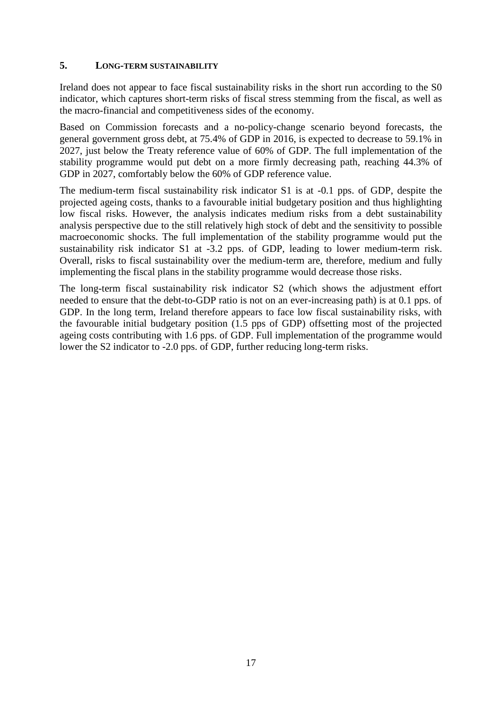### <span id="page-16-0"></span>**5. LONG-TERM SUSTAINABILITY**

Ireland does not appear to face fiscal sustainability risks in the short run according to the S0 indicator, which captures short-term risks of fiscal stress stemming from the fiscal, as well as the macro-financial and competitiveness sides of the economy.

Based on Commission forecasts and a no-policy-change scenario beyond forecasts, the general government gross debt, at 75.4% of GDP in 2016, is expected to decrease to 59.1% in 2027, just below the Treaty reference value of 60% of GDP. The full implementation of the stability programme would put debt on a more firmly decreasing path, reaching 44.3% of GDP in 2027, comfortably below the 60% of GDP reference value.

The medium-term fiscal sustainability risk indicator S1 is at -0.1 pps. of GDP, despite the projected ageing costs, thanks to a favourable initial budgetary position and thus highlighting low fiscal risks. However, the analysis indicates medium risks from a debt sustainability analysis perspective due to the still relatively high stock of debt and the sensitivity to possible macroeconomic shocks. The full implementation of the stability programme would put the sustainability risk indicator S1 at -3.2 pps. of GDP, leading to lower medium-term risk. Overall, risks to fiscal sustainability over the medium-term are, therefore, medium and fully implementing the fiscal plans in the stability programme would decrease those risks.

The long-term fiscal sustainability risk indicator S2 (which shows the adjustment effort needed to ensure that the debt-to-GDP ratio is not on an ever-increasing path) is at 0.1 pps. of GDP. In the long term, Ireland therefore appears to face low fiscal sustainability risks, with the favourable initial budgetary position (1.5 pps of GDP) offsetting most of the projected ageing costs contributing with 1.6 pps. of GDP. Full implementation of the programme would lower the S2 indicator to -2.0 pps. of GDP, further reducing long-term risks.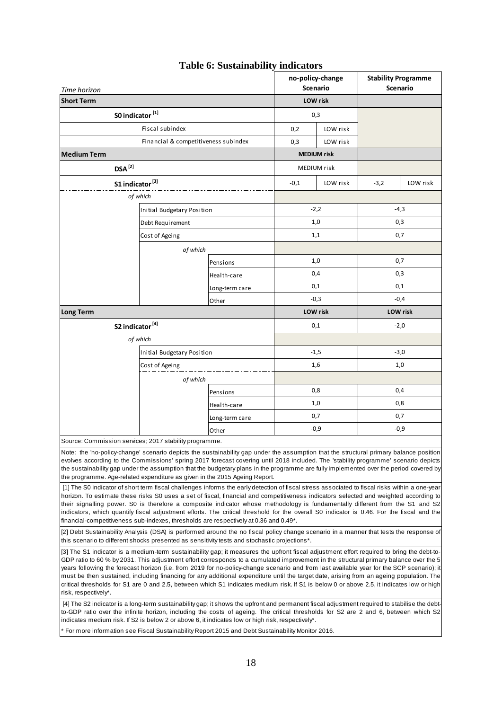|                                                                                                                                                                                                                                                                                         |                                              |                | no-policy-change<br><b>Scenario</b> |                    | <b>Stability Programme</b><br>Scenario |          |
|-----------------------------------------------------------------------------------------------------------------------------------------------------------------------------------------------------------------------------------------------------------------------------------------|----------------------------------------------|----------------|-------------------------------------|--------------------|----------------------------------------|----------|
| Time horizon<br><b>Short Term</b>                                                                                                                                                                                                                                                       |                                              |                |                                     | LOW risk           |                                        |          |
|                                                                                                                                                                                                                                                                                         |                                              |                |                                     |                    |                                        |          |
| S0 indicator <sup>[1]</sup>                                                                                                                                                                                                                                                             |                                              |                |                                     | 0,3                |                                        |          |
|                                                                                                                                                                                                                                                                                         | Fiscal subindex                              |                | 0,2                                 | LOW risk           |                                        |          |
|                                                                                                                                                                                                                                                                                         | Financial & competitiveness subindex         |                | LOW risk<br>0,3                     |                    |                                        |          |
| <b>Medium Term</b>                                                                                                                                                                                                                                                                      |                                              |                |                                     | <b>MEDIUM</b> risk |                                        |          |
| $DSA^{[2]}$                                                                                                                                                                                                                                                                             |                                              |                | MEDIUM risk                         |                    |                                        |          |
| S1 indicator <sup>[3]</sup>                                                                                                                                                                                                                                                             |                                              |                | $-0,1$                              | LOW risk           | $-3,2$                                 | LOW risk |
|                                                                                                                                                                                                                                                                                         | of which                                     |                |                                     |                    |                                        |          |
|                                                                                                                                                                                                                                                                                         | Initial Budgetary Position                   |                | $-2,2$                              |                    | $-4,3$                                 |          |
|                                                                                                                                                                                                                                                                                         | Debt Requirement                             |                |                                     | 1,0                | 0,3                                    |          |
| Cost of Ageing                                                                                                                                                                                                                                                                          |                                              |                | 1,1                                 | 0,7                |                                        |          |
|                                                                                                                                                                                                                                                                                         | of which                                     |                |                                     |                    |                                        |          |
|                                                                                                                                                                                                                                                                                         |                                              | Pensions       |                                     | 1,0                | 0,7                                    |          |
|                                                                                                                                                                                                                                                                                         |                                              | Health-care    |                                     | 0,4                | 0,3                                    |          |
|                                                                                                                                                                                                                                                                                         |                                              |                | 0,1                                 |                    | 0,1                                    |          |
|                                                                                                                                                                                                                                                                                         |                                              | Long-term care |                                     | $-0,3$             | $-0,4$                                 |          |
| Other<br><b>Long Term</b>                                                                                                                                                                                                                                                               |                                              |                | LOW risk                            |                    | LOW risk                               |          |
| S2 indicator <sup>[4]</sup>                                                                                                                                                                                                                                                             |                                              |                | 0,1                                 |                    | $-2,0$                                 |          |
|                                                                                                                                                                                                                                                                                         | of which                                     |                |                                     |                    |                                        |          |
|                                                                                                                                                                                                                                                                                         |                                              |                |                                     | $-1,5$             | $-3,0$                                 |          |
|                                                                                                                                                                                                                                                                                         | Initial Budgetary Position<br>Cost of Ageing |                |                                     | 1,6                | 1,0                                    |          |
|                                                                                                                                                                                                                                                                                         |                                              |                |                                     |                    |                                        |          |
|                                                                                                                                                                                                                                                                                         | of which                                     |                | 0,8                                 |                    |                                        |          |
|                                                                                                                                                                                                                                                                                         |                                              | Pensions       |                                     |                    | 0,4<br>0,8                             |          |
|                                                                                                                                                                                                                                                                                         |                                              | Health-care    | 1,0                                 |                    |                                        |          |
|                                                                                                                                                                                                                                                                                         |                                              | Long-term care |                                     | 0,7                | 0,7                                    |          |
|                                                                                                                                                                                                                                                                                         |                                              | Other          |                                     | $-0,9$             | $-0,9$                                 |          |
| Source: Commission services; 2017 stability programme.                                                                                                                                                                                                                                  |                                              |                |                                     |                    |                                        |          |
| Note: the 'no-policy-change' scenario depicts the sustainability gap under the assumption that the structural primary balance position<br>evolves according to the Commissions' spring 2017 forecast covering until 2018 included. The 'stability programme' scenario depicts           |                                              |                |                                     |                    |                                        |          |
| the sustainability gap under the assumption that the budgetary plans in the programme are fully implemented over the period covered by                                                                                                                                                  |                                              |                |                                     |                    |                                        |          |
| the programme. Age-related expenditure as given in the 2015 Ageing Report.                                                                                                                                                                                                              |                                              |                |                                     |                    |                                        |          |
| [1] The S0 indicator of short term fiscal challenges informs the early detection of fiscal stress associated to fiscal risks within a one-year<br>horizon. To estimate these risks S0 uses a set of fiscal, financial and competitiveness indicators selected and weighted according to |                                              |                |                                     |                    |                                        |          |
| their signalling power. SO is therefore a composite indicator whose methodology is fundamentally different from the S1 and S2                                                                                                                                                           |                                              |                |                                     |                    |                                        |          |
| indicators, which quantify fiscal adjustment efforts. The critical threshold for the overall S0 indicator is 0.46. For the fiscal and the<br>financial-competitiveness sub-indexes, thresholds are respectively at 0.36 and 0.49 <sup>*</sup> .                                         |                                              |                |                                     |                    |                                        |          |
| [2] Debt Sustainability Analysis (DSA) is performed around the no fiscal policy change scenario in a manner that tests the response of                                                                                                                                                  |                                              |                |                                     |                    |                                        |          |
| this scenario to different shocks presented as sensitivity tests and stochastic projections*.                                                                                                                                                                                           |                                              |                |                                     |                    |                                        |          |
| [3] The S1 indicator is a medium-term sustainability gap; it measures the upfront fiscal adjustment effort required to bring the debt-to-                                                                                                                                               |                                              |                |                                     |                    |                                        |          |
| GDP ratio to 60 % by 2031. This adjustment effort corresponds to a cumulated improvement in the structural primary balance over the 5<br>years following the forecast horizon (i.e. from 2019 for no-policy-change scenario and from last available year for the SCP scenario); it      |                                              |                |                                     |                    |                                        |          |
| must be then sustained, including financing for any additional expenditure until the target date, arising from an ageing population. The                                                                                                                                                |                                              |                |                                     |                    |                                        |          |
| critical thresholds for S1 are 0 and 2.5, between which S1 indicates medium risk. If S1 is below 0 or above 2.5, it indicates low or high                                                                                                                                               |                                              |                |                                     |                    |                                        |          |
| risk, respectively*.                                                                                                                                                                                                                                                                    |                                              |                |                                     |                    |                                        |          |
| [4] The S2 indicator is a long-term sustainability gap; it shows the upfront and permanent fiscal adjustment required to stabilise the debt-<br>to-GDP ratio over the infinite horizon, including the costs of ageing. The critical thresholds for S2 are 2 and 6, between which S2     |                                              |                |                                     |                    |                                        |          |
| indicates medium risk. If S2 is below 2 or above 6, it indicates low or high risk, respectively*.                                                                                                                                                                                       |                                              |                |                                     |                    |                                        |          |
| For more information see Fiscal Sustainability Report 2015 and Debt Sustainability Monitor 2016.                                                                                                                                                                                        |                                              |                |                                     |                    |                                        |          |

#### **Table 6: Sustainability indicators**

 $\overline{\phantom{0}}$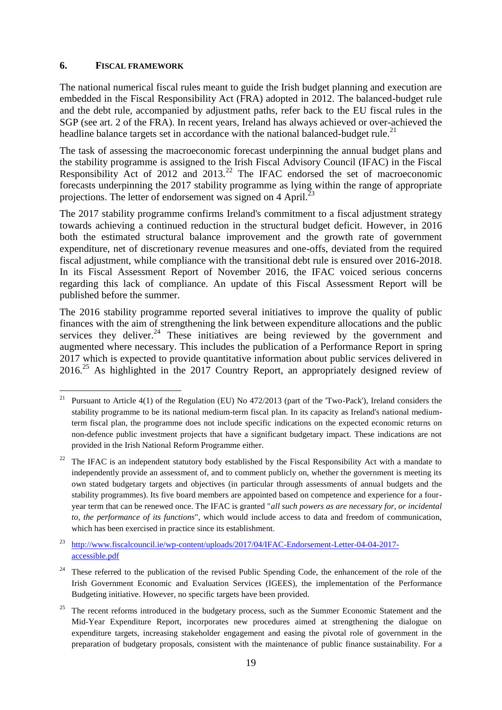## <span id="page-18-0"></span>**6. FISCAL FRAMEWORK**

The national numerical fiscal rules meant to guide the Irish budget planning and execution are embedded in the Fiscal Responsibility Act (FRA) adopted in 2012. The balanced-budget rule and the debt rule, accompanied by adjustment paths, refer back to the EU fiscal rules in the SGP (see art. 2 of the FRA). In recent years, Ireland has always achieved or over-achieved the headline balance targets set in accordance with the national balanced-budget rule.<sup>21</sup>

The task of assessing the macroeconomic forecast underpinning the annual budget plans and the stability programme is assigned to the Irish Fiscal Advisory Council (IFAC) in the Fiscal Responsibility Act of 2012 and 2013.<sup>22</sup> The IFAC endorsed the set of macroeconomic forecasts underpinning the 2017 stability programme as lying within the range of appropriate projections. The letter of endorsement was signed on 4 April.<sup>2</sup>

The 2017 stability programme confirms Ireland's commitment to a fiscal adjustment strategy towards achieving a continued reduction in the structural budget deficit. However, in 2016 both the estimated structural balance improvement and the growth rate of government expenditure, net of discretionary revenue measures and one-offs, deviated from the required fiscal adjustment, while compliance with the transitional debt rule is ensured over 2016-2018. In its Fiscal Assessment Report of November 2016, the IFAC voiced serious concerns regarding this lack of compliance. An update of this Fiscal Assessment Report will be published before the summer.

The 2016 stability programme reported several initiatives to improve the quality of public finances with the aim of strengthening the link between expenditure allocations and the public services they deliver.<sup>24</sup> These initiatives are being reviewed by the government and augmented where necessary. This includes the publication of a Performance Report in spring 2017 which is expected to provide quantitative information about public services delivered in 2016.<sup>25</sup> As highlighted in the 2017 Country Report, an appropriately designed review of

 $21$ <sup>21</sup> Pursuant to Article 4(1) of the Regulation (EU) No 472/2013 (part of the 'Two-Pack'), Ireland considers the stability programme to be its national medium-term fiscal plan. In its capacity as Ireland's national mediumterm fiscal plan, the programme does not include specific indications on the expected economic returns on non-defence public investment projects that have a significant budgetary impact. These indications are not provided in the Irish National Reform Programme either.

<sup>22</sup> The IFAC is an independent statutory body established by the Fiscal Responsibility Act with a mandate to independently provide an assessment of, and to comment publicly on, whether the government is meeting its own stated budgetary targets and objectives (in particular through assessments of annual budgets and the stability programmes). Its five board members are appointed based on competence and experience for a fouryear term that can be renewed once. The IFAC is granted "*all such powers as are necessary for, or incidental to, the performance of its functions*", which would include access to data and freedom of communication, which has been exercised in practice since its establishment.

<sup>&</sup>lt;sup>23</sup> [http://www.fiscalcouncil.ie/wp-content/uploads/2017/04/IFAC-Endorsement-Letter-04-04-2017](http://www.fiscalcouncil.ie/wp-content/uploads/2017/04/IFAC-Endorsement-Letter-04-04-2017-accessible.pdf) [accessible.pdf](http://www.fiscalcouncil.ie/wp-content/uploads/2017/04/IFAC-Endorsement-Letter-04-04-2017-accessible.pdf)

<sup>&</sup>lt;sup>24</sup> These referred to the publication of the revised Public Spending Code, the enhancement of the role of the Irish Government Economic and Evaluation Services (IGEES), the implementation of the Performance Budgeting initiative. However, no specific targets have been provided.

<sup>25</sup> The recent reforms introduced in the budgetary process, such as the Summer Economic Statement and the Mid-Year Expenditure Report, incorporates new procedures aimed at strengthening the dialogue on expenditure targets, increasing stakeholder engagement and easing the pivotal role of government in the preparation of budgetary proposals, consistent with the maintenance of public finance sustainability. For a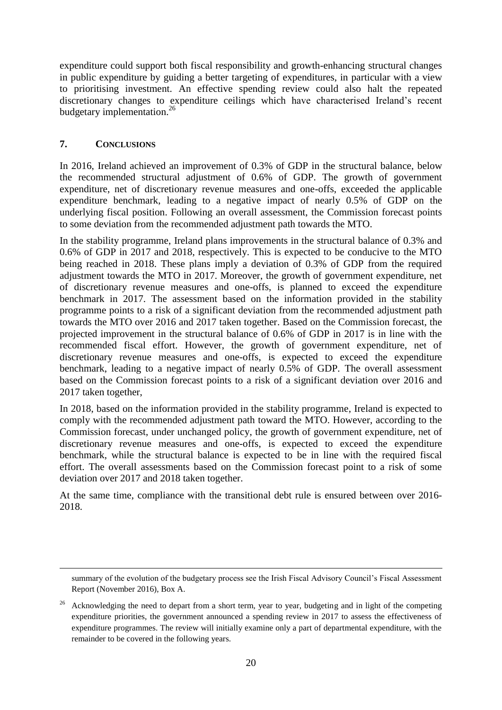expenditure could support both fiscal responsibility and growth-enhancing structural changes in public expenditure by guiding a better targeting of expenditures, in particular with a view to prioritising investment. An effective spending review could also halt the repeated discretionary changes to expenditure ceilings which have characterised Ireland's recent budgetary implementation. 26

# <span id="page-19-0"></span>**7. CONCLUSIONS**

1

In 2016, Ireland achieved an improvement of 0.3% of GDP in the structural balance, below the recommended structural adjustment of 0.6% of GDP. The growth of government expenditure, net of discretionary revenue measures and one-offs, exceeded the applicable expenditure benchmark, leading to a negative impact of nearly 0.5% of GDP on the underlying fiscal position. Following an overall assessment, the Commission forecast points to some deviation from the recommended adjustment path towards the MTO.

In the stability programme, Ireland plans improvements in the structural balance of 0.3% and 0.6% of GDP in 2017 and 2018, respectively. This is expected to be conducive to the MTO being reached in 2018. These plans imply a deviation of 0.3% of GDP from the required adjustment towards the MTO in 2017. Moreover, the growth of government expenditure, net of discretionary revenue measures and one-offs, is planned to exceed the expenditure benchmark in 2017. The assessment based on the information provided in the stability programme points to a risk of a significant deviation from the recommended adjustment path towards the MTO over 2016 and 2017 taken together. Based on the Commission forecast, the projected improvement in the structural balance of 0.6% of GDP in 2017 is in line with the recommended fiscal effort. However, the growth of government expenditure, net of discretionary revenue measures and one-offs, is expected to exceed the expenditure benchmark, leading to a negative impact of nearly 0.5% of GDP. The overall assessment based on the Commission forecast points to a risk of a significant deviation over 2016 and 2017 taken together,

In 2018, based on the information provided in the stability programme, Ireland is expected to comply with the recommended adjustment path toward the MTO. However, according to the Commission forecast, under unchanged policy, the growth of government expenditure, net of discretionary revenue measures and one-offs, is expected to exceed the expenditure benchmark, while the structural balance is expected to be in line with the required fiscal effort. The overall assessments based on the Commission forecast point to a risk of some deviation over 2017 and 2018 taken together.

At the same time, compliance with the transitional debt rule is ensured between over 2016- 2018.

summary of the evolution of the budgetary process see the Irish Fiscal Advisory Council's Fiscal Assessment Report (November 2016), Box A.

<sup>&</sup>lt;sup>26</sup> Acknowledging the need to depart from a short term, year to year, budgeting and in light of the competing expenditure priorities, the government announced a spending review in 2017 to assess the effectiveness of expenditure programmes. The review will initially examine only a part of departmental expenditure, with the remainder to be covered in the following years.